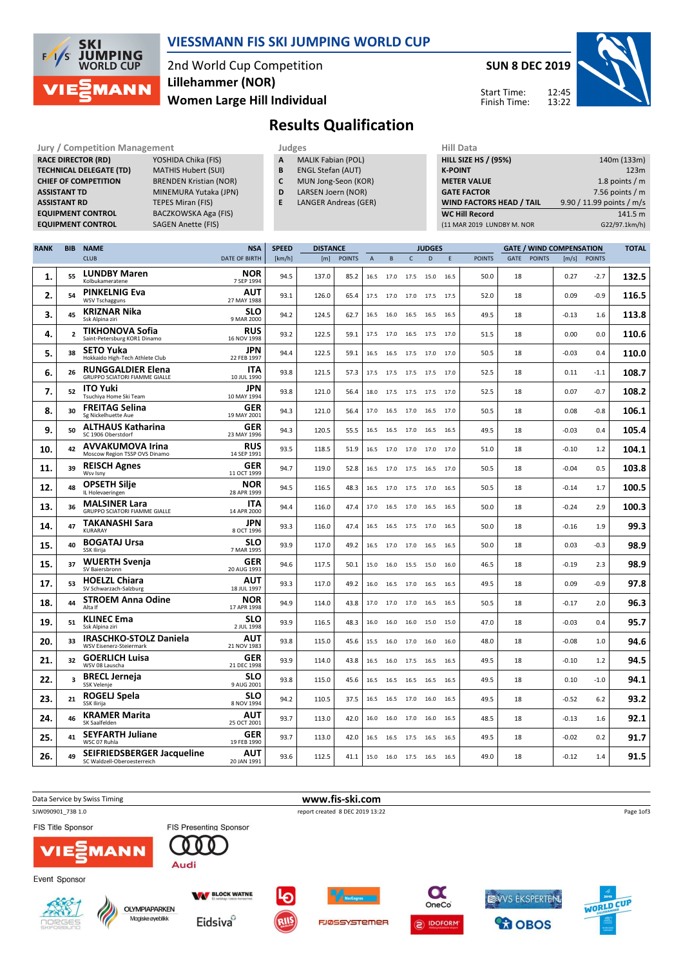

### VIESSMANN FIS SKI JUMPING WORLD CUP

2nd World Cup Competition Women Large Hill Individual Lillehammer (NOR)

SUN 8 DEC 2019



Start Time: Finish Time:

# Results Qualification

Jury / Competition Management **Judges** Judges Hill Data<br> **RACE DIRECTOR (RD)** YOSHIDA Chika (FIS) **A** MALIK Fabian (POL) **HILL SIZE F** RACE DIRECTOR (RD) **TECHNICAL DELEGATE (TD)** MATHIS Hubert (SUI)<br>**CHIEF OF COMPETITION** BRENDEN Kristian (N) ASSISTANT TD MINEMURA Yutaka (JPN) **ASSISTANT RD** TEPES Miran (FIS)<br> **EQUIPMENT CONTROL** BACZKOWSKA Aga EQUIPMENT CONTROL SAGEN Anette (FIS)

BRENDEN Kristian (NOR) BACZKOWSKA Aga (FIS)

- A MALIK Fabian (POL)
- **B** ENGL Stefan (AUT)<br>**C** MUN Jong-Seon (K)
	- MUN Jong-Seon (KOR)
- D LARSEN Joern (NOR)
- E LANGER Andreas (GER)

| <b>HILL SIZE HS / (95%)</b>     | 140m (133m)               |
|---------------------------------|---------------------------|
| <b>K-POINT</b>                  | 123m                      |
| <b>METER VALUE</b>              | 1.8 points $/m$           |
| <b>GATE FACTOR</b>              | 7.56 points $/m$          |
| <b>WIND FACTORS HEAD / TAIL</b> | 9.90 / 11.99 points / m/s |
| <b>WC Hill Record</b>           | 141.5 m                   |
| (11 MAR 2019 LUNDBY M. NOR      | G22/97.1km/h)             |

| <b>RANK</b> | <b>BIB</b>     | <b>NAME</b>                                                      | <b>NSA</b>                | <b>SPEED</b> | <b>DISTANCE</b> |               |                | <b>JUDGES</b> |                     |      |      |               | <b>GATE / WIND COMPENSATION</b> | <b>TOTAL</b>  |         |               |       |
|-------------|----------------|------------------------------------------------------------------|---------------------------|--------------|-----------------|---------------|----------------|---------------|---------------------|------|------|---------------|---------------------------------|---------------|---------|---------------|-------|
|             |                | <b>CLUB</b>                                                      | <b>DATE OF BIRTH</b>      | [km/h]       | [m]             | <b>POINTS</b> | $\overline{A}$ | B             | $\mathsf{C}$        | D    | E    | <b>POINTS</b> | GATE                            | <b>POINTS</b> | [m/s]   | <b>POINTS</b> |       |
| 1.          | 55             | <b>LUNDBY Maren</b><br>Kolbukameratene                           | <b>NOR</b><br>7 SEP 1994  | 94.5         | 137.0           | 85.2          | 16.5           | 17.0          | 17.5                | 15.0 | 16.5 | 50.0          | 18                              |               | 0.27    | $-2.7$        | 132.5 |
| 2.          | 54             | <b>PINKELNIG Eva</b><br><b>WSV Tschagguns</b>                    | AUT<br>27 MAY 1988        | 93.1         | 126.0           | 65.4          | 17.5           | 17.0 17.0     |                     | 17.5 | 17.5 | 52.0          | 18                              |               | 0.09    | $-0.9$        | 116.5 |
| 3.          | 45             | <b>KRIZNAR Nika</b><br>Ssk Alpina ziri                           | SLO<br>9 MAR 2000         | 94.2         | 124.5           | 62.7          | 16.5           | 16.0          | 16.5                | 16.5 | 16.5 | 49.5          | 18                              |               | -0.13   | 1.6           | 113.8 |
| 4.          | $\overline{2}$ | <b>TIKHONOVA Sofia</b><br>Saint-Petersburg KOR1 Dinamo           | RUS<br>16 NOV 1998        | 93.2         | 122.5           | 59.1          | 17.5           | 17.0          | 16.5                | 17.5 | 17.0 | 51.5          | 18                              |               | 0.00    | 0.0           | 110.6 |
| 5.          | 38             | <b>SETO Yuka</b><br>Hokkaido High-Tech Athlete Club              | <b>JPN</b><br>22 FEB 1997 | 94.4         | 122.5           | 59.1          | 16.5           | 16.5          | 17.5                | 17.0 | 17.0 | 50.5          | 18                              |               | $-0.03$ | 0.4           | 110.0 |
| 6.          | 26             | <b>RUNGGALDIER Elena</b><br><b>GRUPPO SCIATORI FIAMME GIALLE</b> | ITA<br>10 JUL 1990        | 93.8         | 121.5           | 57.3          | 17.5           |               | 17.5 17.5 17.5 17.0 |      |      | 52.5          | 18                              |               | 0.11    | $-1.1$        | 108.7 |
| 7.          | 52             | <b>ITO Yuki</b><br>Tsuchiya Home Ski Team                        | <b>JPN</b><br>10 MAY 1994 | 93.8         | 121.0           | 56.4          | 18.0           | 17.5 17.5     |                     | 17.5 | 17.0 | 52.5          | 18                              |               | 0.07    | $-0.7$        | 108.2 |
| 8.          | 30             | <b>FREITAG Selina</b><br>Sg Nickelhuette Aue                     | GER<br>19 MAY 2001        | 94.3         | 121.0           | 56.4          | 17.0           | 16.5          | 17.0                | 16.5 | 17.0 | 50.5          | 18                              |               | 0.08    | $-0.8$        | 106.1 |
| 9.          | 50             | <b>ALTHAUS Katharina</b><br>SC 1906 Oberstdorf                   | <b>GER</b><br>23 MAY 1996 | 94.3         | 120.5           | 55.5          | 16.5           | 16.5          | 17.0                | 16.5 | 16.5 | 49.5          | 18                              |               | $-0.03$ | 0.4           | 105.4 |
| 10.         | 42             | <b>AVVAKUMOVA Irina</b><br>Moscow Region TSSP OVS Dinamo         | <b>RUS</b><br>14 SEP 1991 | 93.5         | 118.5           | 51.9          | 16.5           |               | 17.0 17.0 17.0 17.0 |      |      | 51.0          | 18                              |               | -0.10   | 1.2           | 104.1 |
| 11.         | 39             | <b>REISCH Agnes</b><br>Wsv Isny                                  | <b>GER</b><br>11 OCT 1999 | 94.7         | 119.0           | 52.8          | 16.5           | 17.0          | 17.5                | 16.5 | 17.0 | 50.5          | 18                              |               | $-0.04$ | 0.5           | 103.8 |
| 12.         | 48             | <b>OPSETH Silje</b><br>IL Holevaeringen                          | NOR<br>28 APR 1999        | 94.5         | 116.5           | 48.3          | 16.5           | 17.0 17.5     |                     | 17.0 | 16.5 | 50.5          | 18                              |               | $-0.14$ | 1.7           | 100.5 |
| 13.         | 36             | <b>MALSINER Lara</b><br>GRUPPO SCIATORI FIAMME GIALLE            | ITA<br>14 APR 2000        | 94.4         | 116.0           | 47.4          | 17.0           | 16.5          | 17.0                | 16.5 | 16.5 | 50.0          | 18                              |               | $-0.24$ | 2.9           | 100.3 |
| 14.         | 47             | <b>TAKANASHI Sara</b><br>KURARAY                                 | JPN<br>8 OCT 1996         | 93.3         | 116.0           | 47.4          | 16.5           |               | 16.5 17.5 17.0      |      | 16.5 | 50.0          | 18                              |               | $-0.16$ | 1.9           | 99.3  |
| 15.         | 40             | <b>BOGATAJ Ursa</b><br>SSK Ilirija                               | SLO<br>7 MAR 1995         | 93.9         | 117.0           | 49.2          | 16.5           | 17.0 17.0     |                     | 16.5 | 16.5 | 50.0          | 18                              |               | 0.03    | $-0.3$        | 98.9  |
| 15.         | 37             | <b>WUERTH Svenia</b><br>SV Baiersbronn                           | GER<br>20 AUG 1993        | 94.6         | 117.5           | 50.1          | 15.0           | 16.0          | 15.5                | 15.0 | 16.0 | 46.5          | 18                              |               | $-0.19$ | 2.3           | 98.9  |
| 17.         | 53             | <b>HOELZL Chiara</b><br>SV Schwarzach-Salzburg                   | <b>AUT</b><br>18 JUL 1997 | 93.3         | 117.0           | 49.2          | 16.0           | 16.5 17.0     |                     | 16.5 | 16.5 | 49.5          | 18                              |               | 0.09    | $-0.9$        | 97.8  |
| 18.         | 44             | <b>STROEM Anna Odine</b><br>Alta If                              | <b>NOR</b><br>17 APR 1998 | 94.9         | 114.0           | 43.8          | 17.0           | 17.0 17.0     |                     | 16.5 | 16.5 | 50.5          | 18                              |               | $-0.17$ | 2.0           | 96.3  |
| 19.         | 51             | <b>KLINEC Ema</b><br>Ssk Alpina ziri                             | SLO<br>2 JUL 1998         | 93.9         | 116.5           | 48.3          | 16.0           | 16.0          | 16.0                | 15.0 | 15.0 | 47.0          | 18                              |               | $-0.03$ | 0.4           | 95.7  |
| 20.         | 33             | <b>IRASCHKO-STOLZ Daniela</b><br>WSV Eisenerz-Steiermark         | AUT<br>21 NOV 1983        | 93.8         | 115.0           | 45.6          | 15.5           | 16.0 17.0     |                     | 16.0 | 16.0 | 48.0          | 18                              |               | $-0.08$ | 1.0           | 94.6  |
| 21.         | 32             | <b>GOERLICH Luisa</b><br>WSV 08 Lauscha                          | <b>GER</b><br>21 DEC 1998 | 93.9         | 114.0           | 43.8          | 16.5           | 16.0          | 17.5                | 16.5 | 16.5 | 49.5          | 18                              |               | $-0.10$ | 1.2           | 94.5  |
| 22.         | 3              | <b>BRECL Jerneja</b><br>SSK Velenje                              | <b>SLO</b><br>9 AUG 2001  | 93.8         | 115.0           | 45.6          | 16.5           |               | 16.5 16.5 16.5      |      | 16.5 | 49.5          | 18                              |               | 0.10    | $-1.0$        | 94.1  |
| 23.         | 21             | ROGELJ Spela<br>SSK Ilirija                                      | SLO<br>8 NOV 1994         | 94.2         | 110.5           | 37.5          | 16.5           | 16.5 17.0     |                     | 16.0 | 16.5 | 49.5          | 18                              |               | $-0.52$ | 6.2           | 93.2  |
| 24.         | 46             | <b>KRAMER Marita</b><br>SK Saalfelden                            | AUT<br>25 OCT 2001        | 93.7         | 113.0           | 42.0          | 16.0           | 16.0          | 17.0                | 16.0 | 16.5 | 48.5          | 18                              |               | $-0.13$ | 1.6           | 92.1  |
| 25.         | 41             | <b>SEYFARTH Juliane</b><br>WSC 07 Ruhla                          | <b>GER</b><br>19 FEB 1990 | 93.7         | 113.0           | 42.0          | 16.5           | 16.5          | 17.5                | 16.5 | 16.5 | 49.5          | 18                              |               | $-0.02$ | 0.2           | 91.7  |
| 26.         | 49             | SEIFRIEDSBERGER Jacqueline<br>SC Waldzell-Oberoesterreich        | <b>AUT</b><br>20 JAN 1991 | 93.6         | 112.5           | 41.1          | 15.0           | 16.0 17.5     |                     | 16.5 | 16.5 | 49.0          | 18                              |               | $-0.12$ | 1.4           | 91.5  |

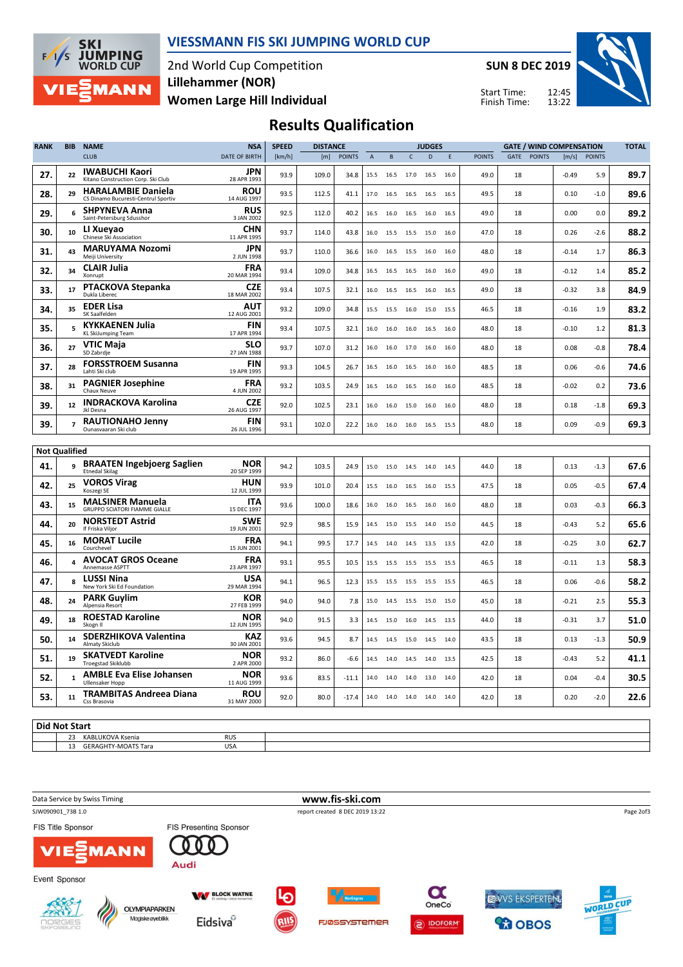

#### VIESSMANN FIS SKI JUMPING WORLD CUP

2nd World Cup Competition Women Large Hill Individual Lillehammer (NOR)

SUN 8 DEC 2019

Start Time: Finish Time:



## Results Qualification

| <b>POINTS</b><br><b>CLUB</b><br>DATE OF BIRTH<br>[m]<br><b>POINTS</b><br>D<br><b>POINTS</b><br>GATE<br><b>POINTS</b><br>[m/s]<br>[km/h]<br>$\mathsf A$<br>B<br>$\mathsf{C}$<br>Ε<br><b>IWABUCHI Kaori</b><br>JPN<br>27.<br>22<br>93.9<br>109.0<br>34.8<br>49.0<br>18<br>$-0.49$<br>5.9<br>15.5<br>16.5<br>17.0<br>16.5<br>16.0<br>Kitano Construction Corp. Ski Club<br>28 APR 1993<br><b>ROU</b><br><b>HARALAMBIE Daniela</b><br>28.<br>29<br>18<br>93.5<br>112.5<br>41.1<br>49.5<br>0.10<br>$-1.0$<br>17.0<br>16.5<br>16.5<br>16.5<br>16.5<br>14 AUG 1997<br>CS Dinamo Bucuresti-Centrul Sportiv<br><b>SHPYNEVA Anna</b><br><b>RUS</b><br>29.<br>6<br>92.5<br>112.0<br>40.2<br>49.0<br>18<br>0.00<br>0.0<br>16.0<br>16.5<br>16.0<br>16.5<br>16.5<br>Saint-Petersburg Sdusshor<br>3 JAN 2002<br>CHN<br>LI Xueyao<br>30.<br>10<br>93.7<br>47.0<br>18<br>0.26<br>114.0<br>43.8<br>16.0<br>15.5<br>15.0<br>16.0<br>$-2.6$<br>15.5<br>Chinese Ski Association<br>11 APR 1995<br>JPN<br><b>MARUYAMA Nozomi</b><br>31.<br>43<br>93.7<br>110.0<br>48.0<br>18<br>$-0.14$<br>1.7<br>36.6<br>16.0<br>16.5<br>15.5<br>16.0<br>16.0<br>Meiji University<br>2 JUN 1998<br><b>CLAIR Julia</b><br><b>FRA</b><br>32.<br>34<br>109.0<br>49.0<br>18<br>$-0.12$<br>93.4<br>34.8<br>1.4<br>16.5<br>16.5<br>16.5<br>16.0<br>16.0<br>Xonrupt<br>20 MAR 1994<br><b>PTACKOVA Stepanka</b><br><b>CZE</b><br>33.<br>17<br>107.5<br>49.0<br>18<br>$-0.32$<br>93.4<br>32.1<br>16.0<br>16.5<br>16.5<br>16.0<br>16.5<br>3.8<br>Dukla Liberec<br>18 MAR 2002<br><b>EDER Lisa</b><br>AUT<br>34.<br>35<br>18<br>93.2<br>109.0<br>34.8<br>46.5<br>$-0.16$<br>1.9<br>15.5<br>15.5<br>16.0<br>15.0<br>15.5<br>SK Saalfelden<br>12 AUG 2001<br><b>KYKKAENEN Julia</b><br><b>FIN</b><br>35.<br>5<br>93.4<br>107.5<br>48.0<br>18<br>$-0.10$<br>32.1<br>16.0<br>16.0<br>16.0<br>16.5<br>16.0<br>1.2<br><b>KL SkiJumping Team</b><br>17 APR 1994<br><b>SLO</b><br>VTIC Maja<br>27<br>107.0<br>18<br>0.08<br>$-0.8$<br>36.<br>93.7<br>31.2<br>48.0<br>16.0<br>16.0<br>17.0<br>16.0<br>16.0<br>SD Zabrdje<br>27 JAN 1988<br><b>FORSSTROEM Susanna</b><br><b>FIN</b><br>37.<br>28<br>48.5<br>18<br>0.06<br>$-0.6$<br>93.3<br>104.5<br>26.7<br>16.5<br>16.0<br>16.5<br>16.0<br>16.0<br>Lahti Ski club<br>19 APR 1995<br><b>PAGNIER Josephine</b><br>FRA<br>38.<br>31<br>93.2<br>103.5<br>24.9<br>16.5<br>16.0<br>16.5<br>16.0<br>16.0<br>48.5<br>18<br>-0.02<br>0.2<br>Chaux Neuve<br>4 JUN 2002<br><b>INDRACKOVA Karolina</b><br><b>CZE</b><br>39.<br>12<br>92.0<br>102.5<br>48.0<br>18<br>23.1<br>16.0<br>16.0<br>15.0<br>16.0<br>16.0<br>0.18<br>$-1.8$<br>Jkl Desna<br>26 AUG 1997<br>FIN<br><b>RAUTIONAHO Jenny</b><br>39.<br>$\overline{7}$<br>93.1<br>102.0<br>22.2<br>16.0<br>16.0<br>16.0<br>16.5<br>15.5<br>48.0<br>18<br>0.09<br>$-0.9$<br>Ounasvaaran Ski club<br>26 JUL 1996<br><b>Not Qualified</b><br><b>BRAATEN Ingebjoerg Saglien</b><br><b>NOR</b><br>9<br>41.<br>94.2<br>103.5<br>44.0<br>18<br>0.13<br>24.9<br>15.0<br>15.0<br>14.5<br>14.0<br>14.5<br>-1.3<br><b>Etnedal Skilag</b><br>20 SEP 1999<br><b>VOROS Virag</b><br>HUN<br>42.<br>25<br>93.9<br>101.0<br>20.4<br>16.0<br>47.5<br>18<br>0.05<br>$-0.5$<br>15.5<br>16.5<br>16.0<br>15.5<br>Koszegi SE<br>12 JUL 1999<br><b>MALSINER Manuela</b><br><b>ITA</b><br>43.<br>15<br>93.6<br>100.0<br>18.6<br>16.0<br>16.0<br>48.0<br>18<br>0.03<br>$-0.3$<br>16.0<br>16.5<br>16.0<br>GRUPPO SCIATORI FIAMME GIALLE<br>15 DEC 1997<br><b>SWE</b><br><b>NORSTEDT Astrid</b><br>44.<br>20<br>92.9<br>98.5<br>15.9<br>44.5<br>18<br>$-0.43$<br>5.2<br>14.5<br>15.0<br>15.5<br>14.0<br>15.0<br>If Friska Viljor<br>19 JUN 2001<br><b>MORAT Lucile</b><br><b>FRA</b><br>45.<br>16<br>94.1<br>99.5<br>42.0<br>18<br>$-0.25$<br>3.0<br>17.7<br>14.5<br>14.0<br>14.5<br>13.5<br>13.5<br>Courchevel<br>15 JUN 2001<br><b>AVOCAT GROS Oceane</b><br><b>FRA</b><br>4<br>46.<br>93.1<br>95.5<br>10.5<br>46.5<br>18<br>$-0.11$<br>1.3<br>15.5<br>15.5<br>15.5<br>15.5<br>15.5<br>Annemasse ASPTT<br>23 APR 1997<br>USA<br><b>LUSSI Nina</b><br>47.<br>8<br>18<br>0.06<br>$-0.6$<br>94.1<br>96.5<br>12.3<br>46.5<br>15.5<br>15.5<br>15.5<br>15.5<br>15.5<br>New York Ski Ed Foundation<br>29 MAR 1994<br><b>PARK Guylim</b><br>KOR<br>48.<br>24<br>18<br>94.0<br>94.0<br>7.8<br>15.0<br>14.5<br>15.5<br>15.0<br>15.0<br>45.0<br>$-0.21$<br>2.5<br>27 FEB 1999<br>Alpensia Resort<br><b>NOR</b><br><b>ROESTAD Karoline</b><br>49.<br>18<br>94.0<br>18<br>$-0.31$<br>91.5<br>3.3<br>15.0<br>44.0<br>3.7<br>14.5<br>16.0<br>14.5<br>13.5<br>12 JUN 1995<br>Skogn II<br><b>SDERZHIKOVA Valentina</b><br>KAZ<br>50.<br>14<br>93.6<br>94.5<br>8.7<br>43.5<br>18<br>0.13<br>$-1.3$<br>14.5<br>14.5<br>15.0<br>14.5<br>14.0<br>Almaty Skiclub<br>30 JAN 2001<br><b>SKATVEDT Karoline</b><br><b>NOR</b><br>19<br>51,<br>93.2<br>86.0<br>42.5<br>18<br>$-0.43$<br>5.2<br>$-6.6$<br>14.0<br>14.0<br>13.5<br>14.5<br>14.5<br><b>Troegstad Skiklubb</b><br>2 APR 2000<br><b>NOR</b><br><b>AMBLE Eva Elise Johansen</b><br>52.<br>$\mathbf{1}$<br>93.6<br>83.5<br>42.0<br>18<br>0.04<br>$-0.4$<br>$-11.1$<br>14.0<br>14.0<br>14.0<br>14.0<br>13.0<br><b>Ullensaker Hopp</b><br>11 AUG 1999<br><b>TRAMBITAS Andreea Diana</b><br><b>ROU</b><br>53.<br>92.0<br>80.0<br>18<br>0.20<br>$-2.0$<br>11<br>$-17.4$<br>14.0<br>14.0 14.0<br>14.0<br>42.0<br>14.0<br>Css Brasovia<br>31 MAY 2000 | <b>RANK</b> | <b>BIB</b> | <b>NAME</b> | <b>NSA</b> | <b>SPEED</b> | <b>DISTANCE</b> |  | <b>JUDGES</b> |  |  |  | <b>GATE / WIND COMPENSATION</b> |  |  |  |      |
|------------------------------------------------------------------------------------------------------------------------------------------------------------------------------------------------------------------------------------------------------------------------------------------------------------------------------------------------------------------------------------------------------------------------------------------------------------------------------------------------------------------------------------------------------------------------------------------------------------------------------------------------------------------------------------------------------------------------------------------------------------------------------------------------------------------------------------------------------------------------------------------------------------------------------------------------------------------------------------------------------------------------------------------------------------------------------------------------------------------------------------------------------------------------------------------------------------------------------------------------------------------------------------------------------------------------------------------------------------------------------------------------------------------------------------------------------------------------------------------------------------------------------------------------------------------------------------------------------------------------------------------------------------------------------------------------------------------------------------------------------------------------------------------------------------------------------------------------------------------------------------------------------------------------------------------------------------------------------------------------------------------------------------------------------------------------------------------------------------------------------------------------------------------------------------------------------------------------------------------------------------------------------------------------------------------------------------------------------------------------------------------------------------------------------------------------------------------------------------------------------------------------------------------------------------------------------------------------------------------------------------------------------------------------------------------------------------------------------------------------------------------------------------------------------------------------------------------------------------------------------------------------------------------------------------------------------------------------------------------------------------------------------------------------------------------------------------------------------------------------------------------------------------------------------------------------------------------------------------------------------------------------------------------------------------------------------------------------------------------------------------------------------------------------------------------------------------------------------------------------------------------------------------------------------------------------------------------------------------------------------------------------------------------------------------------------------------------------------------------------------------------------------------------------------------------------------------------------------------------------------------------------------------------------------------------------------------------------------------------------------------------------------------------------------------------------------------------------------------------------------------------------------------------------------------------------------------------------------------------------------------------------------------------------------------------------------------------------------------------------------------------------------------------------------------------------------------------------------------------------------------------------------------------------------------------------------------------------------------------------------------------------------------------------------------------------------------------------------------------------------------------------------------------------------------------------------------------------------------------------------------------------------------------------------------------------------------------------------------------------------------------------------------------------------------------------------------------------------------------------------------------------------------------------------------------------------------------------------------------------------------------------------------------------------------------------------------------------------------------------------------|-------------|------------|-------------|------------|--------------|-----------------|--|---------------|--|--|--|---------------------------------|--|--|--|------|
|                                                                                                                                                                                                                                                                                                                                                                                                                                                                                                                                                                                                                                                                                                                                                                                                                                                                                                                                                                                                                                                                                                                                                                                                                                                                                                                                                                                                                                                                                                                                                                                                                                                                                                                                                                                                                                                                                                                                                                                                                                                                                                                                                                                                                                                                                                                                                                                                                                                                                                                                                                                                                                                                                                                                                                                                                                                                                                                                                                                                                                                                                                                                                                                                                                                                                                                                                                                                                                                                                                                                                                                                                                                                                                                                                                                                                                                                                                                                                                                                                                                                                                                                                                                                                                                                                                                                                                                                                                                                                                                                                                                                                                                                                                                                                                                                                                                                                                                                                                                                                                                                                                                                                                                                                                                                                                                                                                                    |             |            |             |            |              |                 |  |               |  |  |  |                                 |  |  |  |      |
|                                                                                                                                                                                                                                                                                                                                                                                                                                                                                                                                                                                                                                                                                                                                                                                                                                                                                                                                                                                                                                                                                                                                                                                                                                                                                                                                                                                                                                                                                                                                                                                                                                                                                                                                                                                                                                                                                                                                                                                                                                                                                                                                                                                                                                                                                                                                                                                                                                                                                                                                                                                                                                                                                                                                                                                                                                                                                                                                                                                                                                                                                                                                                                                                                                                                                                                                                                                                                                                                                                                                                                                                                                                                                                                                                                                                                                                                                                                                                                                                                                                                                                                                                                                                                                                                                                                                                                                                                                                                                                                                                                                                                                                                                                                                                                                                                                                                                                                                                                                                                                                                                                                                                                                                                                                                                                                                                                                    |             |            |             |            |              |                 |  |               |  |  |  |                                 |  |  |  | 89.7 |
|                                                                                                                                                                                                                                                                                                                                                                                                                                                                                                                                                                                                                                                                                                                                                                                                                                                                                                                                                                                                                                                                                                                                                                                                                                                                                                                                                                                                                                                                                                                                                                                                                                                                                                                                                                                                                                                                                                                                                                                                                                                                                                                                                                                                                                                                                                                                                                                                                                                                                                                                                                                                                                                                                                                                                                                                                                                                                                                                                                                                                                                                                                                                                                                                                                                                                                                                                                                                                                                                                                                                                                                                                                                                                                                                                                                                                                                                                                                                                                                                                                                                                                                                                                                                                                                                                                                                                                                                                                                                                                                                                                                                                                                                                                                                                                                                                                                                                                                                                                                                                                                                                                                                                                                                                                                                                                                                                                                    |             |            |             |            |              |                 |  |               |  |  |  |                                 |  |  |  | 89.6 |
|                                                                                                                                                                                                                                                                                                                                                                                                                                                                                                                                                                                                                                                                                                                                                                                                                                                                                                                                                                                                                                                                                                                                                                                                                                                                                                                                                                                                                                                                                                                                                                                                                                                                                                                                                                                                                                                                                                                                                                                                                                                                                                                                                                                                                                                                                                                                                                                                                                                                                                                                                                                                                                                                                                                                                                                                                                                                                                                                                                                                                                                                                                                                                                                                                                                                                                                                                                                                                                                                                                                                                                                                                                                                                                                                                                                                                                                                                                                                                                                                                                                                                                                                                                                                                                                                                                                                                                                                                                                                                                                                                                                                                                                                                                                                                                                                                                                                                                                                                                                                                                                                                                                                                                                                                                                                                                                                                                                    |             |            |             |            |              |                 |  |               |  |  |  |                                 |  |  |  | 89.2 |
|                                                                                                                                                                                                                                                                                                                                                                                                                                                                                                                                                                                                                                                                                                                                                                                                                                                                                                                                                                                                                                                                                                                                                                                                                                                                                                                                                                                                                                                                                                                                                                                                                                                                                                                                                                                                                                                                                                                                                                                                                                                                                                                                                                                                                                                                                                                                                                                                                                                                                                                                                                                                                                                                                                                                                                                                                                                                                                                                                                                                                                                                                                                                                                                                                                                                                                                                                                                                                                                                                                                                                                                                                                                                                                                                                                                                                                                                                                                                                                                                                                                                                                                                                                                                                                                                                                                                                                                                                                                                                                                                                                                                                                                                                                                                                                                                                                                                                                                                                                                                                                                                                                                                                                                                                                                                                                                                                                                    |             |            |             |            |              |                 |  |               |  |  |  |                                 |  |  |  | 88.2 |
|                                                                                                                                                                                                                                                                                                                                                                                                                                                                                                                                                                                                                                                                                                                                                                                                                                                                                                                                                                                                                                                                                                                                                                                                                                                                                                                                                                                                                                                                                                                                                                                                                                                                                                                                                                                                                                                                                                                                                                                                                                                                                                                                                                                                                                                                                                                                                                                                                                                                                                                                                                                                                                                                                                                                                                                                                                                                                                                                                                                                                                                                                                                                                                                                                                                                                                                                                                                                                                                                                                                                                                                                                                                                                                                                                                                                                                                                                                                                                                                                                                                                                                                                                                                                                                                                                                                                                                                                                                                                                                                                                                                                                                                                                                                                                                                                                                                                                                                                                                                                                                                                                                                                                                                                                                                                                                                                                                                    |             |            |             |            |              |                 |  |               |  |  |  |                                 |  |  |  | 86.3 |
|                                                                                                                                                                                                                                                                                                                                                                                                                                                                                                                                                                                                                                                                                                                                                                                                                                                                                                                                                                                                                                                                                                                                                                                                                                                                                                                                                                                                                                                                                                                                                                                                                                                                                                                                                                                                                                                                                                                                                                                                                                                                                                                                                                                                                                                                                                                                                                                                                                                                                                                                                                                                                                                                                                                                                                                                                                                                                                                                                                                                                                                                                                                                                                                                                                                                                                                                                                                                                                                                                                                                                                                                                                                                                                                                                                                                                                                                                                                                                                                                                                                                                                                                                                                                                                                                                                                                                                                                                                                                                                                                                                                                                                                                                                                                                                                                                                                                                                                                                                                                                                                                                                                                                                                                                                                                                                                                                                                    |             |            |             |            |              |                 |  |               |  |  |  |                                 |  |  |  | 85.2 |
|                                                                                                                                                                                                                                                                                                                                                                                                                                                                                                                                                                                                                                                                                                                                                                                                                                                                                                                                                                                                                                                                                                                                                                                                                                                                                                                                                                                                                                                                                                                                                                                                                                                                                                                                                                                                                                                                                                                                                                                                                                                                                                                                                                                                                                                                                                                                                                                                                                                                                                                                                                                                                                                                                                                                                                                                                                                                                                                                                                                                                                                                                                                                                                                                                                                                                                                                                                                                                                                                                                                                                                                                                                                                                                                                                                                                                                                                                                                                                                                                                                                                                                                                                                                                                                                                                                                                                                                                                                                                                                                                                                                                                                                                                                                                                                                                                                                                                                                                                                                                                                                                                                                                                                                                                                                                                                                                                                                    |             |            |             |            |              |                 |  |               |  |  |  |                                 |  |  |  | 84.9 |
|                                                                                                                                                                                                                                                                                                                                                                                                                                                                                                                                                                                                                                                                                                                                                                                                                                                                                                                                                                                                                                                                                                                                                                                                                                                                                                                                                                                                                                                                                                                                                                                                                                                                                                                                                                                                                                                                                                                                                                                                                                                                                                                                                                                                                                                                                                                                                                                                                                                                                                                                                                                                                                                                                                                                                                                                                                                                                                                                                                                                                                                                                                                                                                                                                                                                                                                                                                                                                                                                                                                                                                                                                                                                                                                                                                                                                                                                                                                                                                                                                                                                                                                                                                                                                                                                                                                                                                                                                                                                                                                                                                                                                                                                                                                                                                                                                                                                                                                                                                                                                                                                                                                                                                                                                                                                                                                                                                                    |             |            |             |            |              |                 |  |               |  |  |  |                                 |  |  |  | 83.2 |
|                                                                                                                                                                                                                                                                                                                                                                                                                                                                                                                                                                                                                                                                                                                                                                                                                                                                                                                                                                                                                                                                                                                                                                                                                                                                                                                                                                                                                                                                                                                                                                                                                                                                                                                                                                                                                                                                                                                                                                                                                                                                                                                                                                                                                                                                                                                                                                                                                                                                                                                                                                                                                                                                                                                                                                                                                                                                                                                                                                                                                                                                                                                                                                                                                                                                                                                                                                                                                                                                                                                                                                                                                                                                                                                                                                                                                                                                                                                                                                                                                                                                                                                                                                                                                                                                                                                                                                                                                                                                                                                                                                                                                                                                                                                                                                                                                                                                                                                                                                                                                                                                                                                                                                                                                                                                                                                                                                                    |             |            |             |            |              |                 |  |               |  |  |  |                                 |  |  |  | 81.3 |
|                                                                                                                                                                                                                                                                                                                                                                                                                                                                                                                                                                                                                                                                                                                                                                                                                                                                                                                                                                                                                                                                                                                                                                                                                                                                                                                                                                                                                                                                                                                                                                                                                                                                                                                                                                                                                                                                                                                                                                                                                                                                                                                                                                                                                                                                                                                                                                                                                                                                                                                                                                                                                                                                                                                                                                                                                                                                                                                                                                                                                                                                                                                                                                                                                                                                                                                                                                                                                                                                                                                                                                                                                                                                                                                                                                                                                                                                                                                                                                                                                                                                                                                                                                                                                                                                                                                                                                                                                                                                                                                                                                                                                                                                                                                                                                                                                                                                                                                                                                                                                                                                                                                                                                                                                                                                                                                                                                                    |             |            |             |            |              |                 |  |               |  |  |  |                                 |  |  |  | 78.4 |
|                                                                                                                                                                                                                                                                                                                                                                                                                                                                                                                                                                                                                                                                                                                                                                                                                                                                                                                                                                                                                                                                                                                                                                                                                                                                                                                                                                                                                                                                                                                                                                                                                                                                                                                                                                                                                                                                                                                                                                                                                                                                                                                                                                                                                                                                                                                                                                                                                                                                                                                                                                                                                                                                                                                                                                                                                                                                                                                                                                                                                                                                                                                                                                                                                                                                                                                                                                                                                                                                                                                                                                                                                                                                                                                                                                                                                                                                                                                                                                                                                                                                                                                                                                                                                                                                                                                                                                                                                                                                                                                                                                                                                                                                                                                                                                                                                                                                                                                                                                                                                                                                                                                                                                                                                                                                                                                                                                                    |             |            |             |            |              |                 |  |               |  |  |  |                                 |  |  |  | 74.6 |
|                                                                                                                                                                                                                                                                                                                                                                                                                                                                                                                                                                                                                                                                                                                                                                                                                                                                                                                                                                                                                                                                                                                                                                                                                                                                                                                                                                                                                                                                                                                                                                                                                                                                                                                                                                                                                                                                                                                                                                                                                                                                                                                                                                                                                                                                                                                                                                                                                                                                                                                                                                                                                                                                                                                                                                                                                                                                                                                                                                                                                                                                                                                                                                                                                                                                                                                                                                                                                                                                                                                                                                                                                                                                                                                                                                                                                                                                                                                                                                                                                                                                                                                                                                                                                                                                                                                                                                                                                                                                                                                                                                                                                                                                                                                                                                                                                                                                                                                                                                                                                                                                                                                                                                                                                                                                                                                                                                                    |             |            |             |            |              |                 |  |               |  |  |  |                                 |  |  |  | 73.6 |
|                                                                                                                                                                                                                                                                                                                                                                                                                                                                                                                                                                                                                                                                                                                                                                                                                                                                                                                                                                                                                                                                                                                                                                                                                                                                                                                                                                                                                                                                                                                                                                                                                                                                                                                                                                                                                                                                                                                                                                                                                                                                                                                                                                                                                                                                                                                                                                                                                                                                                                                                                                                                                                                                                                                                                                                                                                                                                                                                                                                                                                                                                                                                                                                                                                                                                                                                                                                                                                                                                                                                                                                                                                                                                                                                                                                                                                                                                                                                                                                                                                                                                                                                                                                                                                                                                                                                                                                                                                                                                                                                                                                                                                                                                                                                                                                                                                                                                                                                                                                                                                                                                                                                                                                                                                                                                                                                                                                    |             |            |             |            |              |                 |  |               |  |  |  |                                 |  |  |  | 69.3 |
|                                                                                                                                                                                                                                                                                                                                                                                                                                                                                                                                                                                                                                                                                                                                                                                                                                                                                                                                                                                                                                                                                                                                                                                                                                                                                                                                                                                                                                                                                                                                                                                                                                                                                                                                                                                                                                                                                                                                                                                                                                                                                                                                                                                                                                                                                                                                                                                                                                                                                                                                                                                                                                                                                                                                                                                                                                                                                                                                                                                                                                                                                                                                                                                                                                                                                                                                                                                                                                                                                                                                                                                                                                                                                                                                                                                                                                                                                                                                                                                                                                                                                                                                                                                                                                                                                                                                                                                                                                                                                                                                                                                                                                                                                                                                                                                                                                                                                                                                                                                                                                                                                                                                                                                                                                                                                                                                                                                    |             |            |             |            |              |                 |  |               |  |  |  |                                 |  |  |  | 69.3 |
|                                                                                                                                                                                                                                                                                                                                                                                                                                                                                                                                                                                                                                                                                                                                                                                                                                                                                                                                                                                                                                                                                                                                                                                                                                                                                                                                                                                                                                                                                                                                                                                                                                                                                                                                                                                                                                                                                                                                                                                                                                                                                                                                                                                                                                                                                                                                                                                                                                                                                                                                                                                                                                                                                                                                                                                                                                                                                                                                                                                                                                                                                                                                                                                                                                                                                                                                                                                                                                                                                                                                                                                                                                                                                                                                                                                                                                                                                                                                                                                                                                                                                                                                                                                                                                                                                                                                                                                                                                                                                                                                                                                                                                                                                                                                                                                                                                                                                                                                                                                                                                                                                                                                                                                                                                                                                                                                                                                    |             |            |             |            |              |                 |  |               |  |  |  |                                 |  |  |  |      |
|                                                                                                                                                                                                                                                                                                                                                                                                                                                                                                                                                                                                                                                                                                                                                                                                                                                                                                                                                                                                                                                                                                                                                                                                                                                                                                                                                                                                                                                                                                                                                                                                                                                                                                                                                                                                                                                                                                                                                                                                                                                                                                                                                                                                                                                                                                                                                                                                                                                                                                                                                                                                                                                                                                                                                                                                                                                                                                                                                                                                                                                                                                                                                                                                                                                                                                                                                                                                                                                                                                                                                                                                                                                                                                                                                                                                                                                                                                                                                                                                                                                                                                                                                                                                                                                                                                                                                                                                                                                                                                                                                                                                                                                                                                                                                                                                                                                                                                                                                                                                                                                                                                                                                                                                                                                                                                                                                                                    |             |            |             |            |              |                 |  |               |  |  |  |                                 |  |  |  | 67.6 |
|                                                                                                                                                                                                                                                                                                                                                                                                                                                                                                                                                                                                                                                                                                                                                                                                                                                                                                                                                                                                                                                                                                                                                                                                                                                                                                                                                                                                                                                                                                                                                                                                                                                                                                                                                                                                                                                                                                                                                                                                                                                                                                                                                                                                                                                                                                                                                                                                                                                                                                                                                                                                                                                                                                                                                                                                                                                                                                                                                                                                                                                                                                                                                                                                                                                                                                                                                                                                                                                                                                                                                                                                                                                                                                                                                                                                                                                                                                                                                                                                                                                                                                                                                                                                                                                                                                                                                                                                                                                                                                                                                                                                                                                                                                                                                                                                                                                                                                                                                                                                                                                                                                                                                                                                                                                                                                                                                                                    |             |            |             |            |              |                 |  |               |  |  |  |                                 |  |  |  | 67.4 |
|                                                                                                                                                                                                                                                                                                                                                                                                                                                                                                                                                                                                                                                                                                                                                                                                                                                                                                                                                                                                                                                                                                                                                                                                                                                                                                                                                                                                                                                                                                                                                                                                                                                                                                                                                                                                                                                                                                                                                                                                                                                                                                                                                                                                                                                                                                                                                                                                                                                                                                                                                                                                                                                                                                                                                                                                                                                                                                                                                                                                                                                                                                                                                                                                                                                                                                                                                                                                                                                                                                                                                                                                                                                                                                                                                                                                                                                                                                                                                                                                                                                                                                                                                                                                                                                                                                                                                                                                                                                                                                                                                                                                                                                                                                                                                                                                                                                                                                                                                                                                                                                                                                                                                                                                                                                                                                                                                                                    |             |            |             |            |              |                 |  |               |  |  |  |                                 |  |  |  | 66.3 |
|                                                                                                                                                                                                                                                                                                                                                                                                                                                                                                                                                                                                                                                                                                                                                                                                                                                                                                                                                                                                                                                                                                                                                                                                                                                                                                                                                                                                                                                                                                                                                                                                                                                                                                                                                                                                                                                                                                                                                                                                                                                                                                                                                                                                                                                                                                                                                                                                                                                                                                                                                                                                                                                                                                                                                                                                                                                                                                                                                                                                                                                                                                                                                                                                                                                                                                                                                                                                                                                                                                                                                                                                                                                                                                                                                                                                                                                                                                                                                                                                                                                                                                                                                                                                                                                                                                                                                                                                                                                                                                                                                                                                                                                                                                                                                                                                                                                                                                                                                                                                                                                                                                                                                                                                                                                                                                                                                                                    |             |            |             |            |              |                 |  |               |  |  |  |                                 |  |  |  | 65.6 |
|                                                                                                                                                                                                                                                                                                                                                                                                                                                                                                                                                                                                                                                                                                                                                                                                                                                                                                                                                                                                                                                                                                                                                                                                                                                                                                                                                                                                                                                                                                                                                                                                                                                                                                                                                                                                                                                                                                                                                                                                                                                                                                                                                                                                                                                                                                                                                                                                                                                                                                                                                                                                                                                                                                                                                                                                                                                                                                                                                                                                                                                                                                                                                                                                                                                                                                                                                                                                                                                                                                                                                                                                                                                                                                                                                                                                                                                                                                                                                                                                                                                                                                                                                                                                                                                                                                                                                                                                                                                                                                                                                                                                                                                                                                                                                                                                                                                                                                                                                                                                                                                                                                                                                                                                                                                                                                                                                                                    |             |            |             |            |              |                 |  |               |  |  |  |                                 |  |  |  | 62.7 |
|                                                                                                                                                                                                                                                                                                                                                                                                                                                                                                                                                                                                                                                                                                                                                                                                                                                                                                                                                                                                                                                                                                                                                                                                                                                                                                                                                                                                                                                                                                                                                                                                                                                                                                                                                                                                                                                                                                                                                                                                                                                                                                                                                                                                                                                                                                                                                                                                                                                                                                                                                                                                                                                                                                                                                                                                                                                                                                                                                                                                                                                                                                                                                                                                                                                                                                                                                                                                                                                                                                                                                                                                                                                                                                                                                                                                                                                                                                                                                                                                                                                                                                                                                                                                                                                                                                                                                                                                                                                                                                                                                                                                                                                                                                                                                                                                                                                                                                                                                                                                                                                                                                                                                                                                                                                                                                                                                                                    |             |            |             |            |              |                 |  |               |  |  |  |                                 |  |  |  | 58.3 |
|                                                                                                                                                                                                                                                                                                                                                                                                                                                                                                                                                                                                                                                                                                                                                                                                                                                                                                                                                                                                                                                                                                                                                                                                                                                                                                                                                                                                                                                                                                                                                                                                                                                                                                                                                                                                                                                                                                                                                                                                                                                                                                                                                                                                                                                                                                                                                                                                                                                                                                                                                                                                                                                                                                                                                                                                                                                                                                                                                                                                                                                                                                                                                                                                                                                                                                                                                                                                                                                                                                                                                                                                                                                                                                                                                                                                                                                                                                                                                                                                                                                                                                                                                                                                                                                                                                                                                                                                                                                                                                                                                                                                                                                                                                                                                                                                                                                                                                                                                                                                                                                                                                                                                                                                                                                                                                                                                                                    |             |            |             |            |              |                 |  |               |  |  |  |                                 |  |  |  | 58.2 |
|                                                                                                                                                                                                                                                                                                                                                                                                                                                                                                                                                                                                                                                                                                                                                                                                                                                                                                                                                                                                                                                                                                                                                                                                                                                                                                                                                                                                                                                                                                                                                                                                                                                                                                                                                                                                                                                                                                                                                                                                                                                                                                                                                                                                                                                                                                                                                                                                                                                                                                                                                                                                                                                                                                                                                                                                                                                                                                                                                                                                                                                                                                                                                                                                                                                                                                                                                                                                                                                                                                                                                                                                                                                                                                                                                                                                                                                                                                                                                                                                                                                                                                                                                                                                                                                                                                                                                                                                                                                                                                                                                                                                                                                                                                                                                                                                                                                                                                                                                                                                                                                                                                                                                                                                                                                                                                                                                                                    |             |            |             |            |              |                 |  |               |  |  |  |                                 |  |  |  | 55.3 |
|                                                                                                                                                                                                                                                                                                                                                                                                                                                                                                                                                                                                                                                                                                                                                                                                                                                                                                                                                                                                                                                                                                                                                                                                                                                                                                                                                                                                                                                                                                                                                                                                                                                                                                                                                                                                                                                                                                                                                                                                                                                                                                                                                                                                                                                                                                                                                                                                                                                                                                                                                                                                                                                                                                                                                                                                                                                                                                                                                                                                                                                                                                                                                                                                                                                                                                                                                                                                                                                                                                                                                                                                                                                                                                                                                                                                                                                                                                                                                                                                                                                                                                                                                                                                                                                                                                                                                                                                                                                                                                                                                                                                                                                                                                                                                                                                                                                                                                                                                                                                                                                                                                                                                                                                                                                                                                                                                                                    |             |            |             |            |              |                 |  |               |  |  |  |                                 |  |  |  | 51.0 |
|                                                                                                                                                                                                                                                                                                                                                                                                                                                                                                                                                                                                                                                                                                                                                                                                                                                                                                                                                                                                                                                                                                                                                                                                                                                                                                                                                                                                                                                                                                                                                                                                                                                                                                                                                                                                                                                                                                                                                                                                                                                                                                                                                                                                                                                                                                                                                                                                                                                                                                                                                                                                                                                                                                                                                                                                                                                                                                                                                                                                                                                                                                                                                                                                                                                                                                                                                                                                                                                                                                                                                                                                                                                                                                                                                                                                                                                                                                                                                                                                                                                                                                                                                                                                                                                                                                                                                                                                                                                                                                                                                                                                                                                                                                                                                                                                                                                                                                                                                                                                                                                                                                                                                                                                                                                                                                                                                                                    |             |            |             |            |              |                 |  |               |  |  |  |                                 |  |  |  | 50.9 |
|                                                                                                                                                                                                                                                                                                                                                                                                                                                                                                                                                                                                                                                                                                                                                                                                                                                                                                                                                                                                                                                                                                                                                                                                                                                                                                                                                                                                                                                                                                                                                                                                                                                                                                                                                                                                                                                                                                                                                                                                                                                                                                                                                                                                                                                                                                                                                                                                                                                                                                                                                                                                                                                                                                                                                                                                                                                                                                                                                                                                                                                                                                                                                                                                                                                                                                                                                                                                                                                                                                                                                                                                                                                                                                                                                                                                                                                                                                                                                                                                                                                                                                                                                                                                                                                                                                                                                                                                                                                                                                                                                                                                                                                                                                                                                                                                                                                                                                                                                                                                                                                                                                                                                                                                                                                                                                                                                                                    |             |            |             |            |              |                 |  |               |  |  |  |                                 |  |  |  | 41.1 |
|                                                                                                                                                                                                                                                                                                                                                                                                                                                                                                                                                                                                                                                                                                                                                                                                                                                                                                                                                                                                                                                                                                                                                                                                                                                                                                                                                                                                                                                                                                                                                                                                                                                                                                                                                                                                                                                                                                                                                                                                                                                                                                                                                                                                                                                                                                                                                                                                                                                                                                                                                                                                                                                                                                                                                                                                                                                                                                                                                                                                                                                                                                                                                                                                                                                                                                                                                                                                                                                                                                                                                                                                                                                                                                                                                                                                                                                                                                                                                                                                                                                                                                                                                                                                                                                                                                                                                                                                                                                                                                                                                                                                                                                                                                                                                                                                                                                                                                                                                                                                                                                                                                                                                                                                                                                                                                                                                                                    |             |            |             |            |              |                 |  |               |  |  |  |                                 |  |  |  | 30.5 |
|                                                                                                                                                                                                                                                                                                                                                                                                                                                                                                                                                                                                                                                                                                                                                                                                                                                                                                                                                                                                                                                                                                                                                                                                                                                                                                                                                                                                                                                                                                                                                                                                                                                                                                                                                                                                                                                                                                                                                                                                                                                                                                                                                                                                                                                                                                                                                                                                                                                                                                                                                                                                                                                                                                                                                                                                                                                                                                                                                                                                                                                                                                                                                                                                                                                                                                                                                                                                                                                                                                                                                                                                                                                                                                                                                                                                                                                                                                                                                                                                                                                                                                                                                                                                                                                                                                                                                                                                                                                                                                                                                                                                                                                                                                                                                                                                                                                                                                                                                                                                                                                                                                                                                                                                                                                                                                                                                                                    |             |            |             |            |              |                 |  |               |  |  |  |                                 |  |  |  | 22.6 |

Did Not Start 23 KABLUKOVA Ksenia RUS 13 GERAGHTY-MOATS Tara USA